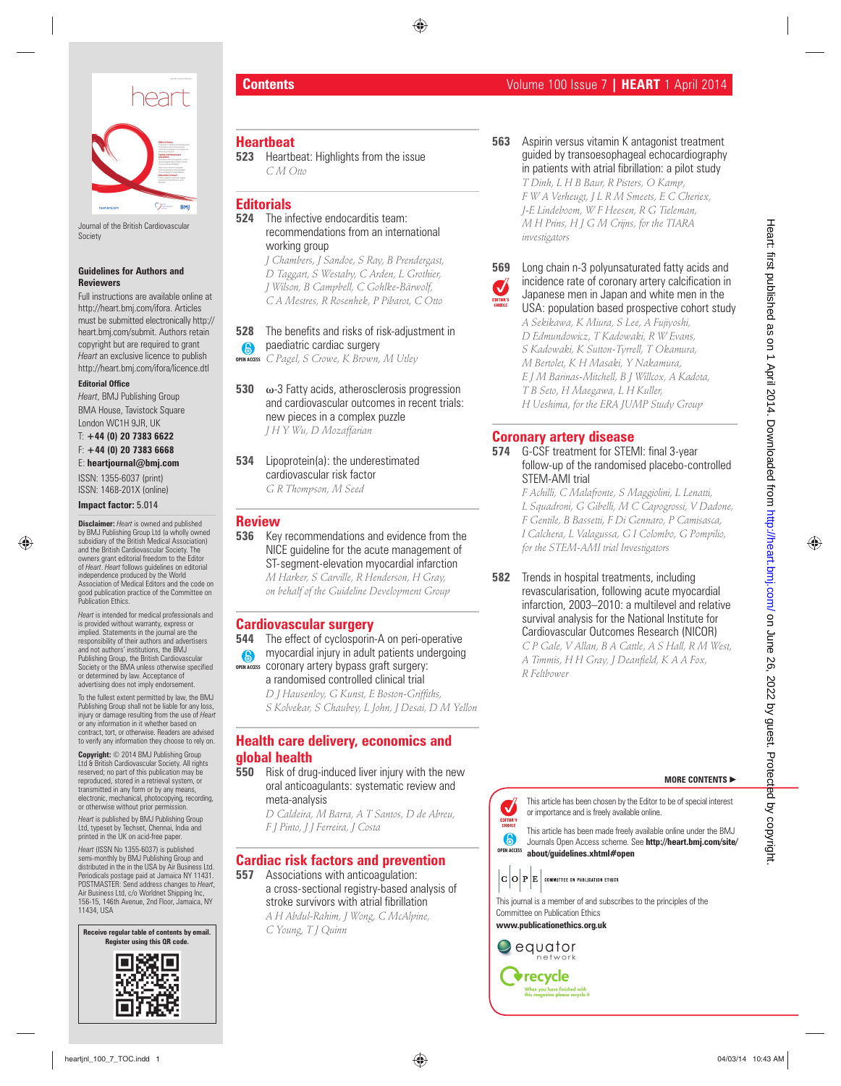

Journal of the British Cardiovascular **Society** 

#### **Guidelines for Authors and Reviewers**

Full instructions are available online at http://heart.bmj.com/ifora. Articles must be submitted electronically http:// heart.bmj.com/submit. Authors retain copyright but are required to grant *Heart* an exclusive licence to publish http://heart.bmj.com/ifora/licence.dtl

#### **Editorial Office**

*Heart*, BMJ Publishing Group BMA House, Tavistock Square London WC1H 9JR, UK

T: **+44 (0) 20 7383 6622** F: **+44 (0) 20 7383 6668** E: **heartjournal@bmj.com**

# ISSN: 1355-6037 (print)

ISSN: 1468-201X (online)

### **Impact factor:** 5.014

**Disclaimer:** *Heart* is owned and published by BMJ Publishing Group Ltd (a wholly owned subsidiary of the British Medical Association) and the British Cardiovascular Society. The owners grant editorial freedom to the Editor of *Heart*. *Heart* follows guidelines on editorial independence produced by the World Association of Medical Editors and the code on good publication practice of the Committee on Publication Ethics.

*Heart* is intended for medical professionals and is provided without warranty, express or implied. Statements in the journal are the responsibility of their authors and advertisers and not authors' institutions, the BMJ Publishing Group, the British Cardiovascular Society or the BMA unless otherwise specified or determined by law. Acceptance of advertising does not imply endorsement.

To the fullest extent permitted by law, the BMJ Publishing Group shall not be liable for any loss, injury or damage resulting from the use of *Heart*  or any information in it whether based on contract, tort, or otherwise. Readers are advised to verify any information they choose to rely on.

**Copyright:** © 2014 BMJ Publishing Group Ltd & British Cardiovascular Society. All rights reserved; no part of this publication may be reproduced, stored in a retrieval system, or transmitted in any form or by any means electronic, mechanical, photocopying, recording, or otherwise without prior permission.

*Heart* is published by BMJ Publishing Group Ltd, typeset by Techset, Chennai, India and printed in the UK on acid-free paper.

*Heart* (ISSN No 1355-6037) is published semi-monthly by BMJ Publishing Group and distributed in the in the USA by Air Business Ltd. Periodicals postage paid at Jamaica NY 11431. POSTMASTER: Send address changes to *Heart*, Air Business Ltd, c/o Worldnet Shipping Inc, 156-15, 146th Avenue, 2nd Floor, Jamaica, NY 11434, USA

#### **Receive regular table of contents by email. Register using this QR code.**



### **Heartbeat**

**523** Heartbeat: Highlights from the issue *C M Otto*

**Editorials**

**524** The infective endocarditis team: recommendations from an international working group

*J Chambers, J Sandoe, S Ray, B Prendergast, D Taggart, S Westaby, C Arden, L Grothier, J Wilson, B Campbell, C Gohlke-Bärwolf, C A Mestres, R Rosenhek, P Pibarot, C Otto*

## **528** The benefits and risks of risk-adjustment in paediatric cardiac surgery

*C Pagel, S Crowe, K Brown, M Utley* **OPEN ACCESS**

- **530** ω-3 Fatty acids, atherosclerosis progression and cardiovascular outcomes in recent trials: new pieces in a complex puzzle *J H Y Wu, D Mozaffarian*
- **534** Lipoprotein(a): the underestimated cardiovascular risk factor *G R Thompson, M Seed*

### **Review**

**536** Key recommendations and evidence from the NICE guideline for the acute management of ST-segment-elevation myocardial infarction *M Harker, S Carville, R Henderson, H Gray, on behalf of the Guideline Development Group*

### **Cardiovascular surgery**

**544** The effect of cyclosporin-A on peri-operative myocardial injury in adult patients undergoing

coronary artery bypass graft surgery: a randomised controlled clinical trial **OPEN ACCESS**

*D J Hausenloy, G Kunst, E Boston-Griffi ths, S Kolvekar, S Chaubey, L John, J Desai, D M Yellon*

## **Health care delivery, economics and global health**

### **550** Risk of drug-induced liver injury with the new oral anticoagulants: systematic review and meta-analysis

*D Caldeira, M Barra, A T Santos, D de Abreu, F J Pinto, J J Ferreira, J Costa*

## **Cardiac risk factors and prevention**

**557** Associations with anticoagulation: a cross-sectional registry-based analysis of stroke survivors with atrial fibrillation

*A H Abdul-Rahim, J Wong, C McAlpine, C Young, T J Quinn*

## **Contents** Volume 100 Issue 7 **| HEART** 1 April 2014

**563** Aspirin versus vitamin K antagonist treatment guided by transoesophageal echocardiography in patients with atrial fibrillation: a pilot study *T Dinh, L H B Baur, R Pisters, O Kamp, F W A Verheugt, J L R M Smeets, E C Cheriex, J-E Lindeboom, W F Heesen, R G Tieleman,* 

*M H Prins, H J G M Crijns, for the TIARA investigators*



### **569** Long chain n-3 polyunsaturated fatty acids and incidence rate of coronary artery calcification in Japanese men in Japan and white men in the USA: population based prospective cohort study

*A Sekikawa, K Miura, S Lee, A Fujiyoshi, D Edmundowicz, T Kadowaki, R W Evans, S Kadowaki, K Sutton-Tyrrell, T Okamura, M Bertolet, K H Masaki, Y Nakamura, E J M Barinas-Mitchell, B J Willcox, A Kadota, T B Seto, H Maegawa, L H Kuller, H Ueshima, for the ERA JUMP Study Group*

## **Coronary artery disease**

**574** G-CSF treatment for STEMI: final 3-year follow-up of the randomised placebo-controlled STEM-AMI trial

> *F Achilli, C Malafronte, S Maggiolini, L Lenatti, L Squadroni, G Gibelli, M C Capogrossi, V Dadone, F Gentile, B Bassetti, F Di Gennaro, P Camisasca, I Calchera, L Valagussa, G I Colombo, G Pompilio, for the STEM-AMI trial Investigators*

**582** Trends in hospital treatments, including revascularisation, following acute myocardial infarction, 2003–2010: a multilevel and relative survival analysis for the National Institute for Cardiovascular Outcomes Research (NICOR) *C P Gale, V Allan, B A Cattle, A S Hall, R M West,*  A Timmis, H H Gray, J Deanfield, K A A Fox, *R Feltbower* heart is a computer of the state of the state of the state of the state of the state of the state of the state of the state of the state of the state of the state of the state of the state of the state of the state of th

#### **MORE CONTENTS** -

This article has been chosen by the Editor to be of special interest or importance and is freely available online.

**OPEN ACCESS about/guidelines.xhtml#open** This article has been made freely available online under the BMJ Journals Open Access scheme. See **http://heart.bmj.com/site/**

This journal is a member of and subscribes to the principles of the Committee on Publication Ethics

**www.publicationethics.org.uk**